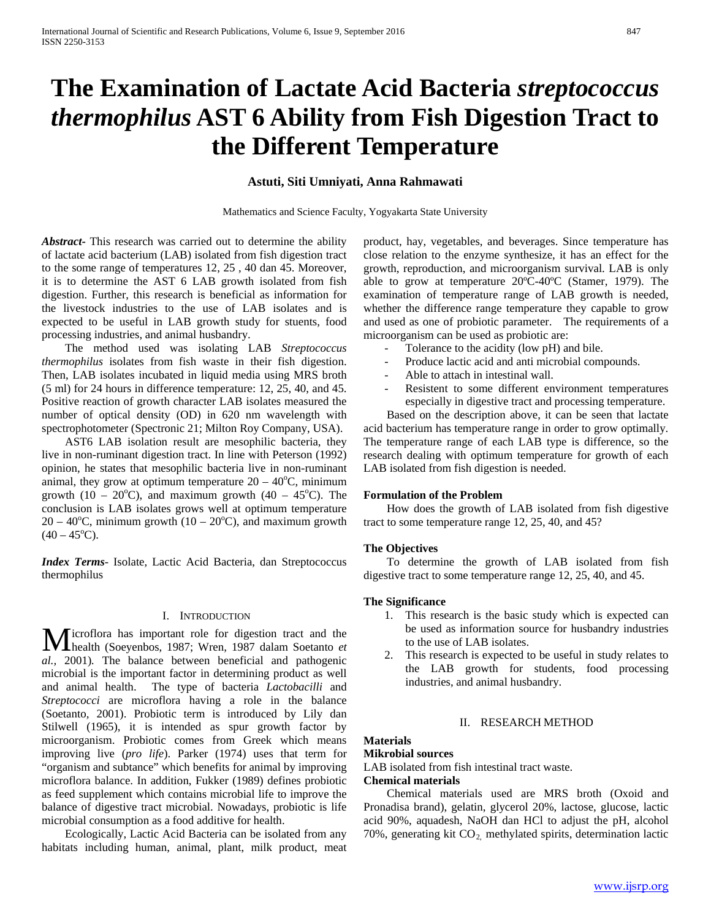# **The Examination of Lactate Acid Bacteria** *streptococcus thermophilus* **AST 6 Ability from Fish Digestion Tract to the Different Temperature**

# **Astuti, Siti Umniyati, Anna Rahmawati**

Mathematics and Science Faculty, Yogyakarta State University

*Abstract***-** This research was carried out to determine the ability of lactate acid bacterium (LAB) isolated from fish digestion tract to the some range of temperatures 12, 25 , 40 dan 45. Moreover, it is to determine the AST 6 LAB growth isolated from fish digestion. Further, this research is beneficial as information for the livestock industries to the use of LAB isolates and is expected to be useful in LAB growth study for stuents, food processing industries, and animal husbandry.

 The method used was isolating LAB *Streptococcus thermophilus* isolates from fish waste in their fish digestion. Then, LAB isolates incubated in liquid media using MRS broth (5 ml) for 24 hours in difference temperature: 12, 25, 40, and 45. Positive reaction of growth character LAB isolates measured the number of optical density (OD) in 620 nm wavelength with spectrophotometer (Spectronic 21; Milton Roy Company, USA).

 AST6 LAB isolation result are mesophilic bacteria, they live in non-ruminant digestion tract. In line with Peterson (1992) opinion, he states that mesophilic bacteria live in non-ruminant animal, they grow at optimum temperature  $20 - 40^{\circ}$ C, minimum growth (10 – 20°C), and maximum growth (40 – 45°C). The conclusion is LAB isolates grows well at optimum temperature  $20 - 40^{\circ}$ C, minimum growth (10 – 20 $^{\circ}$ C), and maximum growth  $(40 - 45$ °C).

*Index Terms*- Isolate, Lactic Acid Bacteria, dan Streptococcus thermophilus

#### I. INTRODUCTION

Microflora has important role for digestion tract and the health (Soeyenbos, 1987; Wren, 1987 dalam Soetanto et health (Soeyenbos, 1987; Wren*,* 1987 dalam Soetanto *et al.,* 2001)*.* The balance between beneficial and pathogenic microbial is the important factor in determining product as well and animal health. The type of bacteria *Lactobacilli* and *Streptococci* are microflora having a role in the balance (Soetanto*,* 2001). Probiotic term is introduced by Lily dan Stilwell (1965), it is intended as spur growth factor by microorganism. Probiotic comes from Greek which means improving live (*pro life*). Parker (1974) uses that term for "organism and subtance" which benefits for animal by improving microflora balance. In addition, Fukker (1989) defines probiotic as feed supplement which contains microbial life to improve the balance of digestive tract microbial. Nowadays, probiotic is life microbial consumption as a food additive for health.

 Ecologically, Lactic Acid Bacteria can be isolated from any habitats including human, animal, plant, milk product, meat product, hay, vegetables, and beverages. Since temperature has close relation to the enzyme synthesize, it has an effect for the growth, reproduction, and microorganism survival. LAB is only able to grow at temperature 20ºC-40ºC (Stamer, 1979). The examination of temperature range of LAB growth is needed, whether the difference range temperature they capable to grow and used as one of probiotic parameter. The requirements of a microorganism can be used as probiotic are:

- Tolerance to the acidity (low pH) and bile.
- Produce lactic acid and anti microbial compounds.
- Able to attach in intestinal wall.
- Resistent to some different environment temperatures especially in digestive tract and processing temperature.

 Based on the description above, it can be seen that lactate acid bacterium has temperature range in order to grow optimally. The temperature range of each LAB type is difference, so the research dealing with optimum temperature for growth of each LAB isolated from fish digestion is needed.

#### **Formulation of the Problem**

 How does the growth of LAB isolated from fish digestive tract to some temperature range 12, 25, 40, and 45?

#### **The Objectives**

 To determine the growth of LAB isolated from fish digestive tract to some temperature range 12, 25, 40, and 45.

#### **The Significance**

- 1. This research is the basic study which is expected can be used as information source for husbandry industries to the use of LAB isolates.
- 2. This research is expected to be useful in study relates to the LAB growth for students, food processing industries, and animal husbandry.

#### II. RESEARCH METHOD

# **Materials**

#### **Mikrobial sources**

LAB isolated from fish intestinal tract waste.

#### **Chemical materials**

 Chemical materials used are MRS broth (Oxoid and Pronadisa brand), gelatin, glycerol 20%, lactose, glucose, lactic acid 90%, aquadesh, NaOH dan HCl to adjust the pH, alcohol 70%, generating kit CO<sub>2</sub> methylated spirits, determination lactic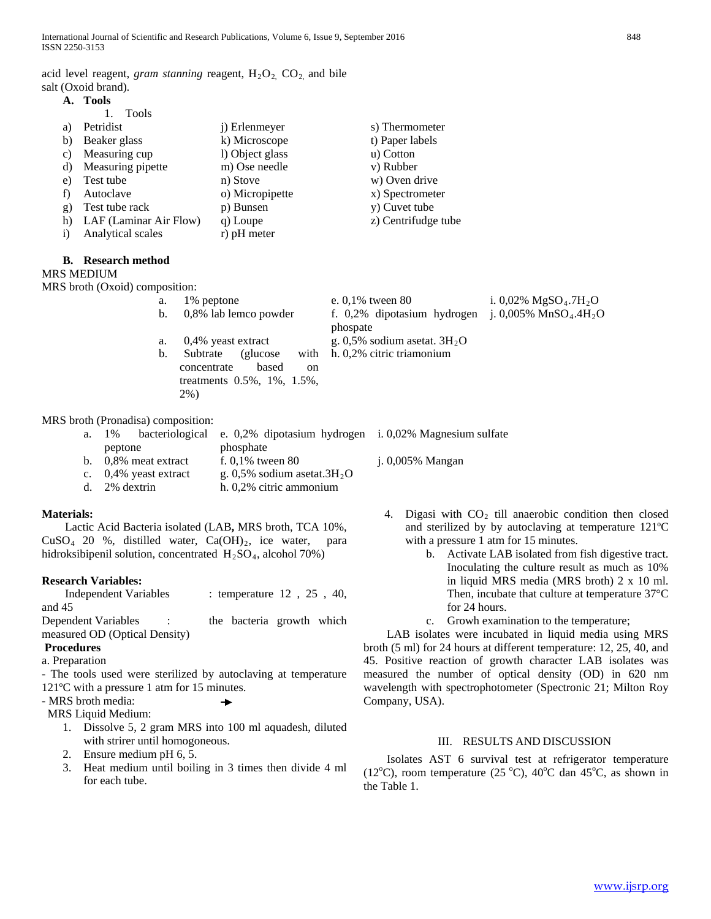acid level reagent, *gram stanning* reagent,  $H_2O_2$ ,  $CO_2$ , and bile salt (Oxoid brand)*.*

| А. | Tools |
|----|-------|
|    |       |

|              | <b>Tools</b>           |                       |                     |
|--------------|------------------------|-----------------------|---------------------|
| a)           | Petridist              | <i>i</i> ) Erlenmeyer | s) Thermometer      |
| b)           | Beaker glass           | k) Microscope         | t) Paper labels     |
| C)           | Measuring cup          | l) Object glass       | u) Cotton           |
| d)           | Measuring pipette      | m) Ose needle         | v) Rubber           |
| e)           | Test tube              | n) Stove              | w) Oven drive       |
|              | Autoclave              | o) Micropipette       | x) Spectrometer     |
| g)           | Test tube rack         | p) Bunsen             | y) Cuvet tube       |
| h)           | LAF (Laminar Air Flow) | q) Loupe              | z) Centrifudge tube |
| $\mathbf{i}$ | Analytical scales      | r) pH meter           |                     |

#### **B. Research method**

#### MRS MEDIUM

MRS broth (Oxoid) composition:

| а. | 1\% peptone                           | e. $0.1\%$ tween 80                                | i. 0,02% $MgSO4.7H2O$ |  |  |
|----|---------------------------------------|----------------------------------------------------|-----------------------|--|--|
|    | b. 0,8% lab lemco powder              | f. 0,2% dipotasium hydrogen j. 0,005% $MnSO4.4H2O$ |                       |  |  |
|    |                                       | phospate                                           |                       |  |  |
|    | a. 0,4% yeast extract                 | g. 0,5% sodium asetat. $3H_2O$                     |                       |  |  |
| b. | Subtrate<br>with<br>(glucose)         | h. 0,2% citric triamonium                          |                       |  |  |
|    | based<br>concentrate<br><sub>on</sub> |                                                    |                       |  |  |
|    | treatments 0.5%, 1%, 1.5%,            |                                                    |                       |  |  |
|    | 2%)                                   |                                                    |                       |  |  |
|    |                                       |                                                    |                       |  |  |

MRS broth (Pronadisa) composition:

|                 |                          | a. 1% bacteriological e. 0,2% dipotasium hydrogen i. 0,02% Magnesium sulfate |                         |
|-----------------|--------------------------|------------------------------------------------------------------------------|-------------------------|
| peptone         |                          | phosphate                                                                    |                         |
|                 | b. $0.8\%$ meat extract  | f. $0.1\%$ tween 80                                                          | <i>i.</i> 0,005% Mangan |
|                 | c. $0.4\%$ yeast extract | g. 0,5% sodium asetat. $3H_2O$                                               |                         |
| $d.$ 2% dextrin |                          | h. 0,2% citric ammonium                                                      |                         |
|                 |                          |                                                                              |                         |

## **Materials:**

 Lactic Acid Bacteria isolated (LAB**,** MRS broth, TCA 10%,  $CuSO<sub>4</sub>$  20 %, distilled water,  $Ca(OH)<sub>2</sub>$ , ice water, para hidroksibipenil solution, concentrated  $H_2SO_4$ , alcohol 70%)

## **Research Variables:**

Independent Variables : temperature 12, 25, 40, and 45

Dependent Variables : the bacteria growth which measured OD (Optical Density)

# **Procedures**

a. Preparation

- The tools used were sterilized by autoclaving at temperature 121ºC with a pressure 1 atm for 15 minutes.

- MRS broth media:

MRS Liquid Medium:

1. Dissolve 5, 2 gram MRS into 100 ml aquadesh, diluted with strirer until homogoneous.

 $\rightarrow$ 

- 2. Ensure medium pH 6, 5.
- 3. Heat medium until boiling in 3 times then divide 4 ml for each tube.
- 4. Digasi with  $CO<sub>2</sub>$  till anaerobic condition then closed and sterilized by by autoclaving at temperature 121ºC with a pressure 1 atm for 15 minutes.
	- b. Activate LAB isolated from fish digestive tract. Inoculating the culture result as much as 10% in liquid MRS media (MRS broth) 2 x 10 ml. Then, incubate that culture at temperature 37°C for 24 hours.
	- c. Growh examination to the temperature;

 LAB isolates were incubated in liquid media using MRS broth (5 ml) for 24 hours at different temperature: 12, 25, 40, and 45. Positive reaction of growth character LAB isolates was measured the number of optical density (OD) in 620 nm wavelength with spectrophotometer (Spectronic 21; Milton Roy Company, USA).

## III. RESULTS AND DISCUSSION

 Isolates AST 6 survival test at refrigerator temperature (12°C), room temperature (25 °C), 40°C dan 45°C, as shown in the Table 1.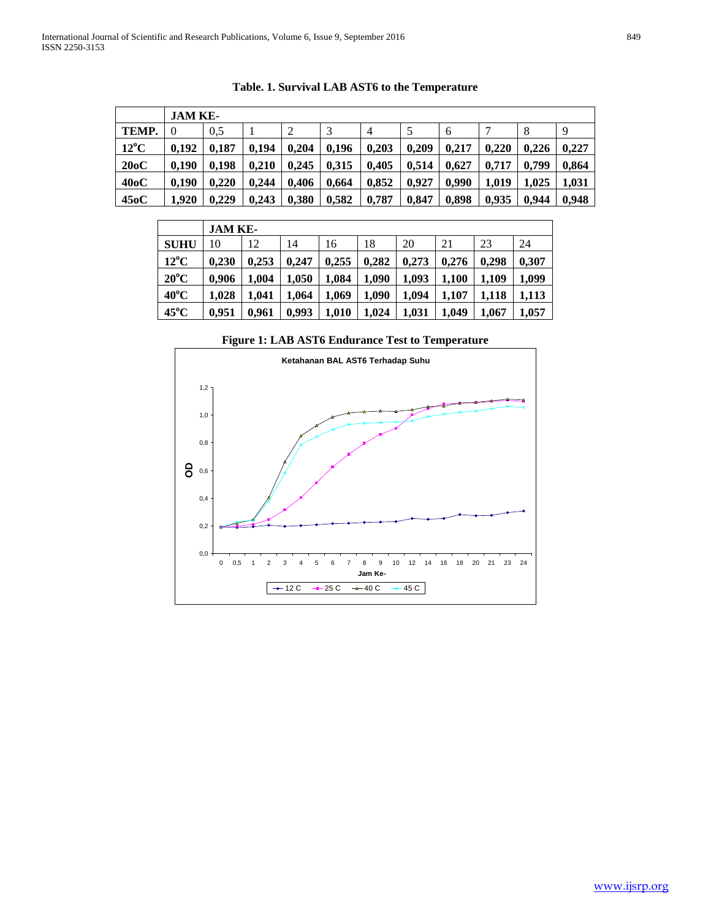|                   | JAM KE-  |       |       |       |       |       |       |       |       |       |       |
|-------------------|----------|-------|-------|-------|-------|-------|-------|-------|-------|-------|-------|
| TEMP.             | $\theta$ | 0.5   |       | 2     |       | 4     | 5     | 6     |       | 8     | 9     |
| $12^{\circ}$ C    | 0.192    | 0.187 | 0.194 | 0.204 | 0.196 | 0.203 | 0.209 | 0.217 | 0.220 | 0.226 | 0.227 |
| 20oC              | 0.190    | 0.198 | 0.210 | 0.245 | 0.315 | 0.405 | 0.514 | 0.627 | 0.717 | 0.799 | 0,864 |
| 40 <sub>o</sub> C | 0.190    | 0.220 | 0.244 | 0.406 | 0.664 | 0.852 | 0.927 | 0.990 | 1.019 | 1,025 | 1,031 |
| 450C              | 1.920    | 0.229 | 0.243 | 0.380 | 0.582 | 0,787 | 0.847 | 0.898 | 0,935 | 0.944 | 0,948 |

**Table. 1. Survival LAB AST6 to the Temperature**

|                | JAM KE- |       |       |       |       |       |       |       |       |  |
|----------------|---------|-------|-------|-------|-------|-------|-------|-------|-------|--|
| <b>SUHU</b>    | 10      | 12    | 14    | 16    | 18    | 20    | 21    | 23    | 24    |  |
| $12^{\circ}$ C | 0.230   | 0.253 | 0.247 | 0.255 | 0,282 | 0.273 | 0.276 | 0.298 | 0,307 |  |
| $20^{\circ}$ C | 0.906   | 1.004 | 1.050 | 1,084 | 1.090 | 1.093 | 1.100 | 1.109 | 1.099 |  |
| $40^{\circ}$ C | 1.028   | 1.041 | 1.064 | 1.069 | 1.090 | 1.094 | 1.107 | 1.118 | 1,113 |  |
| $45^{\circ}$ C | 0.951   | 0.961 | 0,993 | 1.010 | 1.024 | 1.031 | 1.049 | 1.067 | 1.057 |  |

**Figure 1: LAB AST6 Endurance Test to Temperature**

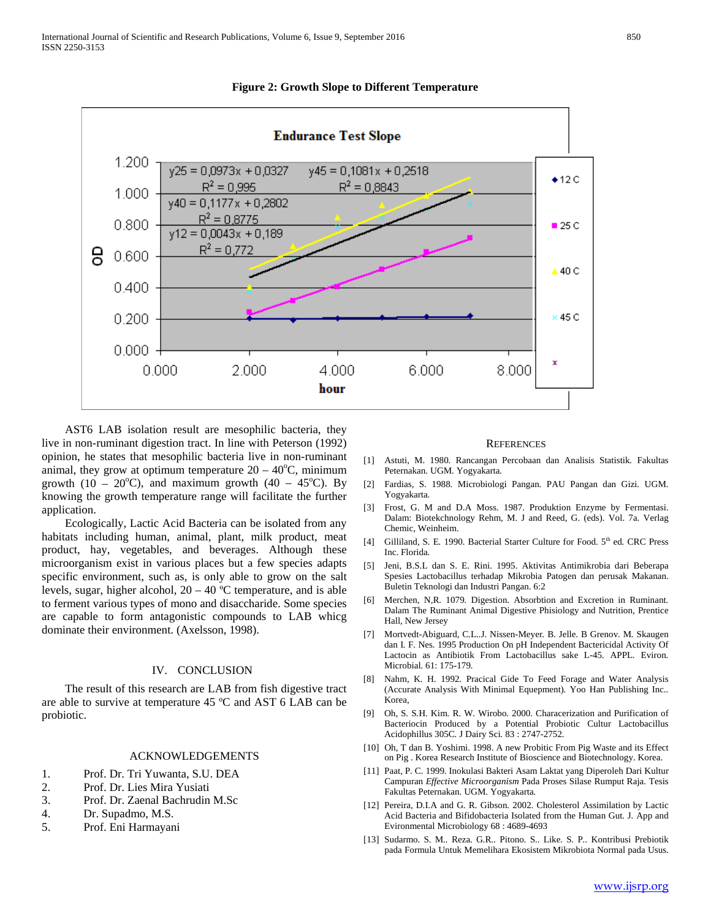



 AST6 LAB isolation result are mesophilic bacteria, they live in non-ruminant digestion tract. In line with Peterson (1992) opinion, he states that mesophilic bacteria live in non-ruminant animal, they grow at optimum temperature  $20 - 40^{\circ}$ C, minimum growth (10 – 20 $^{\circ}$ C), and maximum growth (40 – 45 $^{\circ}$ C). By knowing the growth temperature range will facilitate the further application.

 Ecologically, Lactic Acid Bacteria can be isolated from any habitats including human, animal, plant, milk product, meat product, hay, vegetables, and beverages. Although these microorganism exist in various places but a few species adapts specific environment, such as, is only able to grow on the salt levels, sugar, higher alcohol, 20 – 40 ºC temperature, and is able to ferment various types of mono and disaccharide. Some species are capable to form antagonistic compounds to LAB whicg dominate their environment. (Axelsson, 1998).

#### IV. CONCLUSION

 The result of this research are LAB from fish digestive tract are able to survive at temperature 45 ºC and AST 6 LAB can be probiotic.

#### ACKNOWLEDGEMENTS

- 1. Prof. Dr. Tri Yuwanta, S.U. DEA
- 2. Prof. Dr. Lies Mira Yusiati
- 3. Prof. Dr. Zaenal Bachrudin M.Sc
- 4. Dr. Supadmo, M.S.
- 5. Prof. Eni Harmayani

#### **REFERENCES**

- [1] Astuti, M. 1980*.* Rancangan Percobaan dan Analisis Statistik*.* Fakultas Peternakan*.* UGM*.* Yogyakarta*.*
- [2] Fardias*,* S*.* 1988*.* Microbiologi Pangan*.* PAU Pangan dan Gizi*.* UGM*.* Yogyakarta*.*
- [3] Frost, G. M and D.A Moss. 1987. Produktion Enzyme by Fermentasi. Dalam: Biotekchnology Rehm, M. J and Reed, G. (eds). Vol. 7a. Verlag Chemic, Weinheim.
- [4] Gilliland*,* S*.* E*.* 1990*.* Bacterial Starter Culture for Food*.* 5th ed*.* CRC Press Inc. Florida*.*
- [5] Jeni, B.S.L dan S. E. Rini. 1995. Aktivitas Antimikrobia dari Beberapa Spesies Lactobacillus terhadap Mikrobia Patogen dan perusak Makanan. Buletin Teknologi dan Industri Pangan. 6:2
- [6] Merchen*,* N*,*R*.* 1079*.* Digestion*.* Absorbtion and Excretion in Ruminant*.* Dalam The Ruminant Animal Digestive Phisiology and Nutrition*,* Prentice Hall*,* New Jersey
- [7] Mortvedt-Abiguard*,* C*.*L*..*J*.* Nissen-Meyer*.* B*.* Jelle*.* B Grenov*.* M*.* Skaugen dan I*.* F*.* Nes*.* 1995 Production On pH Independent Bactericidal Activity Of Lactocin as Antibiotik From Lactobacillus sake L-45*.* APPL*.* Eviron*.* Microbial*.* 61: 175-179*.*
- [8] Nahm*,* K*.* H*.* 1992*.* Pracical Gide To Feed Forage and Water Analysis (Accurate Analysis With Minimal Equepment)*.* Yoo Han Publishing Inc*..* Korea*,*
- [9] Oh*,* S*.* S*.*H*.* Kim*.* R*.* W*.* Wirobo*.* 2000*.* Characerization and Purification of Bacteriocin Produced by a Potential Probiotic Cultur Lactobacillus Acidophillus 305C*.* J Dairy Sci*.* 83 : 2747-2752*.*
- [10] Oh, T dan B. Yoshimi. 1998. A new Probitic From Pig Waste and its Effect on Pig . Korea Research Institute of Bioscience and Biotechnology. Korea.
- [11] Paat*,* P*.* C*.* 1999*.* Inokulasi Bakteri Asam Laktat yang Diperoleh Dari Kultur Campuran *Effective Microorganism* Pada Proses Silase Rumput Raja*.* Tesis Fakultas Peternakan*.* UGM*.* Yogyakarta*.*
- [12] Pereira*,* D*.*I*.*A and G*.* R*.* Gibson*.* 2002*.* Cholesterol Assimilation by Lactic Acid Bacteria and Bifidobacteria Isolated from the Human Gut*.* J*.* App and Evironmental Microbiology 68 : 4689-4693
- [13] Sudarmo*.* S*.* M*..* Reza*.* G*.*R*..* Pitono*.* S*..* Like*.* S*.* P*..* Kontribusi Prebiotik pada Formula Untuk Memelihara Ekosistem Mikrobiota Normal pada Usus*.*